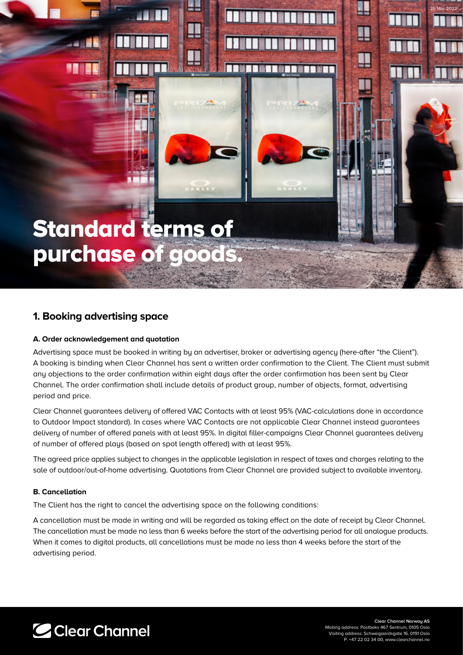# Standard terms of purchase of goods.

## **1. Booking advertising space**

#### **A. Order acknowledgement and quotation**

Advertising space must be booked in writing by an advertiser, broker or advertising agency (here-after "the Client"). A booking is binding when Clear Channel has sent a written order confirmation to the Client. The Client must submit any objections to the order confirmation within eight days after the order confirmation has been sent by Clear Channel. The order confirmation shall include details of product group, number of objects, format, advertising period and price.

Clear Channel guarantees delivery of offered VAC Contacts with at least 95% (VAC-calculations done in accordance to Outdoor Impact standard). In cases where VAC Contacts are not applicable Clear Channel instead guarantees delivery of number of offered panels with at least 95%. In digital filler-campaigns Clear Channel guarantees delivery of number of offered plays (based on spot length offered) with at least 95%.

The agreed price applies subject to changes in the applicable legislation in respect of taxes and charges relating to the sale of outdoor/out-of-home advertising. Quotations from Clear Channel are provided subject to available inventory.

#### **B. Cancellation**

The Client has the right to cancel the advertising space on the following conditions:

A cancellation must be made in writing and will be regarded as taking effect on the date of receipt by Clear Channel. The cancellation must be made no less than 6 weeks before the start of the advertising period for all analogue products. When it comes to digital products, all cancellations must be made no less than 4 weeks before the start of the advertising period.

C Clear Channel

**Clear Channel Norway AS** Mailing address: Postboks 467 Sentrum, 0105 Oslo Visiting address: Schweigaardsgate 16, 0191 Oslo P: +47 22 02 34 00, www.clearch

25 Mar 2022

∐

Ţ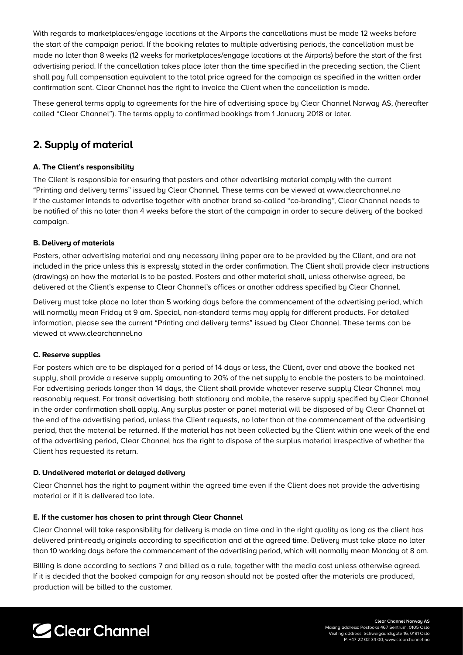With regards to marketplaces/engage locations at the Airports the cancellations must be made 12 weeks before the start of the campaign period. If the booking relates to multiple advertising periods, the cancellation must be made no later than 8 weeks (12 weeks for marketplaces/engage locations at the Airports) before the start of the first advertising period. If the cancellation takes place later than the time specified in the preceding section, the Client shall pay full compensation equivalent to the total price agreed for the campaign as specified in the written order confirmation sent. Clear Channel has the right to invoice the Client when the cancellation is made.

These general terms apply to agreements for the hire of advertising space by Clear Channel Norway AS, (hereafter called "Clear Channel"). The terms apply to confirmed bookings from 1 January 2018 or later.

## **2. Supply of material**

#### **A. The Client's responsibility**

The Client is responsible for ensuring that posters and other advertising material comply with the current "Printing and delivery terms" issued by Clear Channel. These terms can be viewed at www.clearchannel.no If the customer intends to advertise together with another brand so-called "co-branding", Clear Channel needs to be notified of this no later than 4 weeks before the start of the campaign in order to secure delivery of the booked campaign.

#### **B. Delivery of materials**

Posters, other advertising material and any necessary lining paper are to be provided by the Client, and are not included in the price unless this is expressly stated in the order confirmation. The Client shall provide clear instructions (drawings) on how the material is to be posted. Posters and other material shall, unless otherwise agreed, be delivered at the Client's expense to Clear Channel's offices or another address specified by Clear Channel.

Delivery must take place no later than 5 working days before the commencement of the advertising period, which will normally mean Friday at 9 am. Special, non-standard terms may apply for different products. For detailed information, please see the current "Printing and delivery terms" issued by Clear Channel. These terms can be viewed at www.clearchannel.no

#### **C. Reserve supplies**

For posters which are to be displayed for a period of 14 days or less, the Client, over and above the booked net supply, shall provide a reserve supply amounting to 20% of the net supply to enable the posters to be maintained. For advertising periods longer than 14 days, the Client shall provide whatever reserve supply Clear Channel may reasonably request. For transit advertising, both stationary and mobile, the reserve supply specified by Clear Channel in the order confirmation shall apply. Any surplus poster or panel material will be disposed of by Clear Channel at the end of the advertising period, unless the Client requests, no later than at the commencement of the advertising period, that the material be returned. If the material has not been collected by the Client within one week of the end of the advertising period, Clear Channel has the right to dispose of the surplus material irrespective of whether the Client has requested its return.

#### **D. Undelivered material or delayed delivery**

Clear Channel has the right to payment within the agreed time even if the Client does not provide the advertising material or if it is delivered too late.

#### **E. If the customer has chosen to print through Clear Channel**

Clear Channel will take responsibility for delivery is made on time and in the right quality as long as the client has delivered print-ready originals according to specification and at the agreed time. Delivery must take place no later than 10 working days before the commencement of the advertising period, which will normally mean Monday at 8 am.

Billing is done according to sections 7 and billed as a rule, together with the media cost unless otherwise agreed. If it is decided that the booked campaign for any reason should not be posted after the materials are produced, production will be billed to the customer.

## C Clear Channel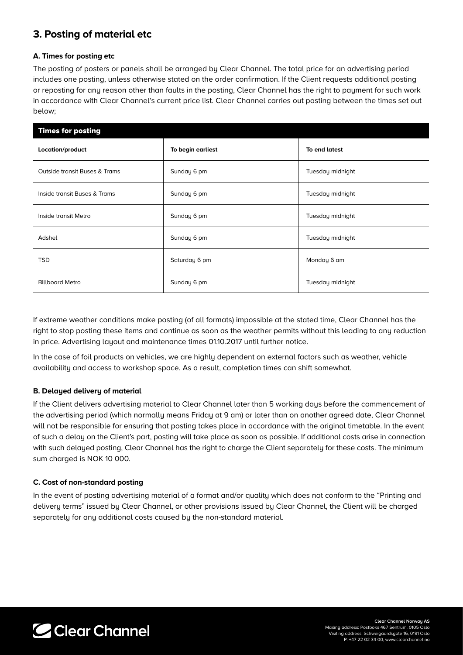## **3. Posting of material etc**

#### **A. Times for posting etc**

The posting of posters or panels shall be arranged by Clear Channel. The total price for an advertising period includes one posting, unless otherwise stated on the order confirmation. If the Client requests additional posting or reposting for any reason other than faults in the posting, Clear Channel has the right to payment for such work in accordance with Clear Channel's current price list. Clear Channel carries out posting between the times set out below;

| <b>Times for posting</b>      |                   |                  |
|-------------------------------|-------------------|------------------|
| Location/product              | To begin earliest | To end latest    |
| Outside transit Buses & Trams | Sunday 6 pm       | Tuesday midnight |
| Inside transit Buses & Trams  | Sunday 6 pm       | Tuesday midnight |
| Inside transit Metro          | Sunday 6 pm       | Tuesday midnight |
| Adshel                        | Sunday 6 pm       | Tuesday midnight |
| <b>TSD</b>                    | Saturday 6 pm     | Monday 6 am      |
| <b>Billboard Metro</b>        | Sunday 6 pm       | Tuesday midnight |

If extreme weather conditions make posting (of all formats) impossible at the stated time, Clear Channel has the right to stop posting these items and continue as soon as the weather permits without this leading to any reduction in price. Advertising layout and maintenance times 01.10.2017 until further notice.

In the case of foil products on vehicles, we are highly dependent on external factors such as weather, vehicle availability and access to workshop space. As a result, completion times can shift somewhat.

#### **B. Delayed delivery of material**

If the Client delivers advertising material to Clear Channel later than 5 working days before the commencement of the advertising period (which normally means Friday at 9 am) or later than on another agreed date, Clear Channel will not be responsible for ensuring that posting takes place in accordance with the original timetable. In the event of such a delay on the Client's part, posting will take place as soon as possible. If additional costs arise in connection with such delayed posting, Clear Channel has the right to charge the Client separately for these costs. The minimum sum charged is NOK 10 000.

#### **C. Cost of non-standard posting**

In the event of posting advertising material of a format and/or quality which does not conform to the "Printing and delivery terms" issued by Clear Channel, or other provisions issued by Clear Channel, the Client will be charged separately for any additional costs caused by the non-standard material.

C Clear Channel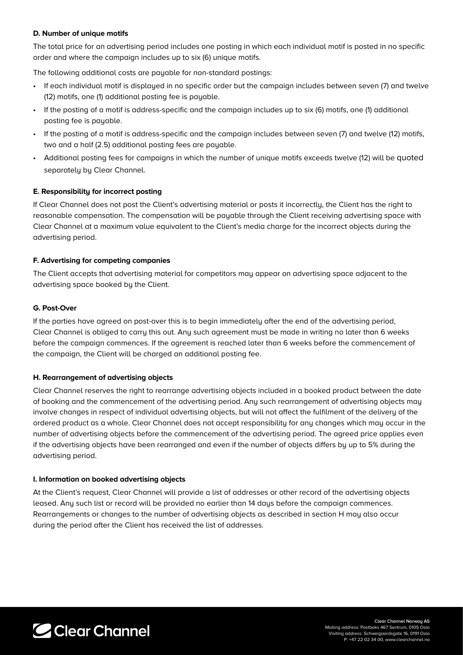#### **D. Number of unique motifs**

The total price for an advertising period includes one posting in which each individual motif is posted in no specific order and where the campaign includes up to six (6) unique motifs.

The following additional costs are payable for non-standard postings:

- If each individual motif is displayed in no specific order but the campaign includes between seven (7) and twelve (12) motifs, one (1) additional posting fee is payable.
- If the posting of a motif is address-specific and the campaign includes up to six (6) motifs, one (1) additional posting fee is payable.
- If the posting of a motif is address-specific and the campaign includes between seven (7) and twelve (12) motifs, two and a half (2.5) additional posting fees are payable.
- Additional posting fees for campaigns in which the number of unique motifs exceeds twelve (12) will be quoted separately by Clear Channel.

#### **E. Responsibility for incorrect posting**

If Clear Channel does not post the Client's advertising material or posts it incorrectly, the Client has the right to reasonable compensation. The compensation will be payable through the Client receiving advertising space with Clear Channel at a maximum value equivalent to the Client's media charge for the incorrect objects during the advertising period.

#### **F. Advertising for competing companies**

The Client accepts that advertising material for competitors may appear on advertising space adjacent to the advertising space booked by the Client.

#### **G. Post-Over**

If the parties have agreed on post-over this is to begin immediately after the end of the advertising period, Clear Channel is obliged to carry this out. Any such agreement must be made in writing no later than 6 weeks before the campaign commences. If the agreement is reached later than 6 weeks before the commencement of the campaign, the Client will be charged an additional posting fee.

#### **H. Rearrangement of advertising objects**

Clear Channel reserves the right to rearrange advertising objects included in a booked product between the date of booking and the commencement of the advertising period. Any such rearrangement of advertising objects may involve changes in respect of individual advertising objects, but will not affect the fulfilment of the delivery of the ordered product as a whole. Clear Channel does not accept responsibility for any changes which may occur in the number of advertising objects before the commencement of the advertising period. The agreed price applies even if the advertising objects have been rearranged and even if the number of objects differs by up to 5% during the advertising period.

#### **I. Information on booked advertising objects**

At the Client's request, Clear Channel will provide a list of addresses or other record of the advertising objects leased. Any such list or record will be provided no earlier than 14 days before the campaign commences. Rearrangements or changes to the number of advertising objects as described in section H may also occur during the period after the Client has received the list of addresses.

C Clear Channel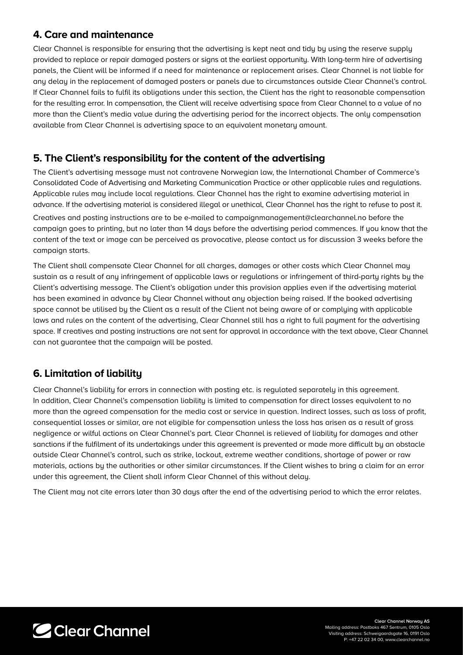### **4. Care and maintenance**

Clear Channel is responsible for ensuring that the advertising is kept neat and tidu by using the reserve supply provided to replace or repair damaged posters or signs at the earliest opportunity. With long-term hire of advertising panels, the Client will be informed if a need for maintenance or replacement arises. Clear Channel is not liable for any delay in the replacement of damaged posters or panels due to circumstances outside Clear Channel's control. If Clear Channel fails to fulfil its obligations under this section, the Client has the right to reasonable compensation for the resulting error. In compensation, the Client will receive advertising space from Clear Channel to a value of no more than the Client's media value during the advertising period for the incorrect objects. The only compensation available from Clear Channel is advertising space to an equivalent monetary amount.

## **5. The Client's responsibility for the content of the advertising**

The Client's advertising message must not contravene Norwegian law, the International Chamber of Commerce's Consolidated Code of Advertising and Marketing Communication Practice or other applicable rules and regulations. Applicable rules may include local regulations. Clear Channel has the right to examine advertising material in advance. If the advertising material is considered illegal or unethical, Clear Channel has the right to refuse to post it.

Creatives and posting instructions are to be e-mailed to campaignmanagement@clearchannel.no before the campaign goes to printing, but no later than 14 days before the advertising period commences. If you know that the content of the text or image can be perceived as provocative, please contact us for discussion 3 weeks before the campaign starts.

The Client shall compensate Clear Channel for all charges, damages or other costs which Clear Channel may sustain as a result of any infringement of applicable laws or regulations or infringement of third-party rights by the Client's advertising message. The Client's obligation under this provision applies even if the advertising material has been examined in advance by Clear Channel without any objection being raised. If the booked advertising space cannot be utilised by the Client as a result of the Client not being aware of or complying with applicable laws and rules on the content of the advertising, Clear Channel still has a right to full payment for the advertising space. If creatives and posting instructions are not sent for approval in accordance with the text above, Clear Channel can not guarantee that the campaign will be posted.

## **6. Limitation of liability**

Clear Channel's liability for errors in connection with posting etc. is regulated separately in this agreement. In addition, Clear Channel's compensation liability is limited to compensation for direct losses equivalent to no more than the agreed compensation for the media cost or service in question. Indirect losses, such as loss of profit, consequential losses or similar, are not eligible for compensation unless the loss has arisen as a result of gross negligence or wilful actions on Clear Channel's part. Clear Channel is relieved of liability for damages and other sanctions if the fulfilment of its undertakings under this agreement is prevented or made more difficult by an obstacle outside Clear Channel's control, such as strike, lockout, extreme weather conditions, shortage of power or raw materials, actions by the authorities or other similar circumstances. If the Client wishes to bring a claim for an error under this agreement, the Client shall inform Clear Channel of this without delay.

The Client may not cite errors later than 30 days after the end of the advertising period to which the error relates.

C Clear Channel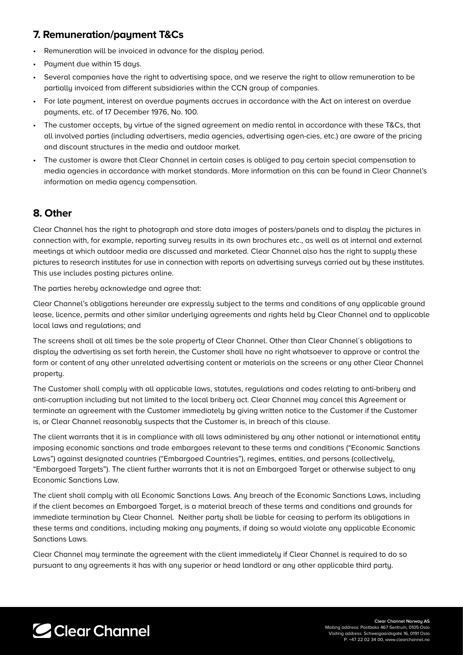## **7. Remuneration/payment T&Cs**

- Remuneration will be invoiced in advance for the display period.
- Payment due within 15 days.
- Several companies have the right to advertising space, and we reserve the right to allow remuneration to be partially invoiced from different subsidiaries within the CCN group of companies.
- For late payment, interest on overdue payments accrues in accordance with the Act on interest on overdue payments, etc. of 17 December 1976, No. 100.
- The customer accepts, by virtue of the signed agreement on media rental in accordance with these T&Cs, that all involved parties (including advertisers, media agencies, advertising agen-cies, etc.) are aware of the pricing and discount structures in the media and outdoor market.
- The customer is aware that Clear Channel in certain cases is obliged to pay certain special compensation to media agencies in accordance with market standards. More information on this can be found in Clear Channel's information on media agency compensation.

## **8. Other**

Clear Channel has the right to photograph and store data images of posters/panels and to display the pictures in connection with, for example, reporting survey results in its own brochures etc., as well as at internal and external meetings at which outdoor media are discussed and marketed. Clear Channel also has the right to supply these pictures to research institutes for use in connection with reports on advertising surveus carried out by these institutes. This use includes posting pictures online.

The parties hereby acknowledge and agree that:

Clear Channel's obligations hereunder are expressly subject to the terms and conditions of any applicable ground lease, licence, permits and other similar underlying agreements and rights held by Clear Channel and to applicable local laws and regulations; and

The screens shall at all times be the sole property of Clear Channel. Other than Clear Channel´s obligations to display the advertising as set forth herein, the Customer shall have no right whatsoever to approve or control the form or content of any other unrelated advertising content or materials on the screens or any other Clear Channel property.

The Customer shall comply with all applicable laws, statutes, regulations and codes relating to anti-bribery and anti-corruption including but not limited to the local bribery act. Clear Channel may cancel this Agreement or terminate an agreement with the Customer immediately by giving written notice to the Customer if the Customer is, or Clear Channel reasonably suspects that the Customer is, in breach of this clause.

The client warrants that it is in compliance with all laws administered by any other national or international entity imposing economic sanctions and trade embargoes relevant to these terms and conditions ("Economic Sanctions Laws") against designated countries ("Embargoed Countries"), regimes, entities, and persons (collectively, "Embargoed Targets"). The client further warrants that it is not an Embargoed Target or otherwise subject to any Economic Sanctions Law.

The client shall comply with all Economic Sanctions Laws. Any breach of the Economic Sanctions Laws, including if the client becomes an Embargoed Target, is a material breach of these terms and conditions and grounds for immediate termination by Clear Channel. Neither party shall be liable for ceasing to perform its obligations in these terms and conditions, including making any payments, if doing so would violate any applicable Economic Sanctions Laws.

Clear Channel may terminate the agreement with the client immediately if Clear Channel is required to do so pursuant to any agreements it has with any superior or head landlord or any other applicable third party.

## C Clear Channel